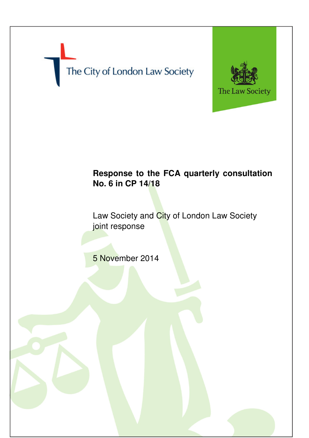# The City of London Law Society



# **Response to the FCA quarterly consultation No. 6 in CP 14/18**

Law Society and City of London Law Society joint response

5 November 2014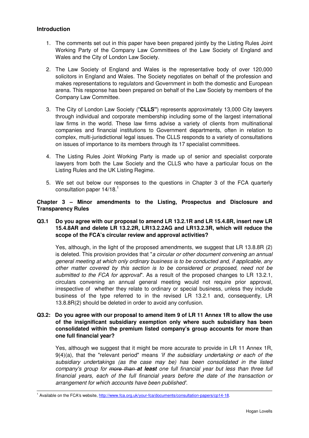# **Introduction**

 $\overline{a}$ 

- 1. The comments set out in this paper have been prepared jointly by the Listing Rules Joint Working Party of the Company Law Committees of the Law Society of England and Wales and the City of London Law Society.
- 2. The Law Society of England and Wales is the representative body of over 120,000 solicitors in England and Wales. The Society negotiates on behalf of the profession and makes representations to regulators and Government in both the domestic and European arena. This response has been prepared on behalf of the Law Society by members of the Company Law Committee.
- 3. The City of London Law Society ("**CLLS"**) represents approximately 13,000 City lawyers through individual and corporate membership including some of the largest international law firms in the world. These law firms advise a variety of clients from multinational companies and financial institutions to Government departments, often in relation to complex, multi-jurisdictional legal issues. The CLLS responds to a variety of consultations on issues of importance to its members through its 17 specialist committees.
- 4. The Listing Rules Joint Working Party is made up of senior and specialist corporate lawyers from both the Law Society and the CLLS who have a particular focus on the Listing Rules and the UK Listing Regime.
- 5. We set out below our responses to the questions in Chapter 3 of the FCA quarterly consultation paper  $14/18$ <sup>1</sup>

## **Chapter 3 – Minor amendments to the Listing, Prospectus and Disclosure and Transparency Rules**

## **Q3.1 Do you agree with our proposal to amend LR 13.2.1R and LR 15.4.8R, insert new LR 15.4.8AR and delete LR 13.2.2R, LR13.2.2AG and LR13.2.3R, which will reduce the scope of the FCA's circular review and approval activities?**

Yes, although, in the light of the proposed amendments, we suggest that LR 13.8.8R (2) is deleted. This provision provides that "a circular or other document convening an annual general meeting at which only ordinary business is to be conducted and, if applicable, any other matter covered by this section is to be considered or proposed, need not be submitted to the FCA for approval". As a result of the proposed changes to LR 13.2.1, circulars convening an annual general meeting would not require prior approval, irrespective of whether they relate to ordinary or special business, unless they include business of the type referred to in the revised LR 13.2.1 and, consequently, LR 13.8.8R(2) should be deleted in order to avoid any confusion.

# **Q3.2: Do you agree with our proposal to amend item 9 of LR 11 Annex 1R to allow the use of the insignificant subsidiary exemption only where such subsidiary has been consolidated within the premium listed company's group accounts for more than one full financial year?**

Yes, although we suggest that it might be more accurate to provide in LR 11 Annex 1R,  $9(4)(a)$ , that the "relevant period" means *if the subsidiary undertaking or each of the* subsidiary undertakings (as the case may be) has been consolidated in the listed company's group for more than **at least** one full financial year but less than three full financial years, each of the full financial years before the date of the transaction or arrangement for which accounts have been published'.

<sup>&</sup>lt;sup>1</sup> Available on the FCA's website, http://www.fca.org.uk/your-fca/documents/consultation-papers/cp14-18.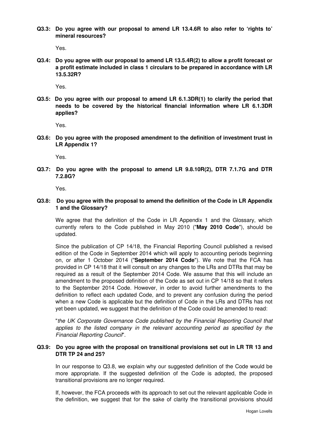**Q3.3: Do you agree with our proposal to amend LR 13.4.6R to also refer to 'rights to' mineral resources?** 

Yes.

**Q3.4: Do you agree with our proposal to amend LR 13.5.4R(2) to allow a profit forecast or a profit estimate included in class 1 circulars to be prepared in accordance with LR 13.5.32R?** 

Yes.

**Q3.5: Do you agree with our proposal to amend LR 6.1.3DR(1) to clarify the period that needs to be covered by the historical financial information where LR 6.1.3DR applies?** 

Yes.

**Q3.6: Do you agree with the proposed amendment to the definition of investment trust in LR Appendix 1?** 

Yes.

**Q3.7: Do you agree with the proposal to amend LR 9.8.10R(2), DTR 7.1.7G and DTR 7.2.8G?** 

Yes.

**Q3.8: Do you agree with the proposal to amend the definition of the Code in LR Appendix 1 and the Glossary?** 

We agree that the definition of the Code in LR Appendix 1 and the Glossary, which currently refers to the Code published in May 2010 ("**May 2010 Code**"), should be updated.

Since the publication of CP 14/18, the Financial Reporting Council published a revised edition of the Code in September 2014 which will apply to accounting periods beginning on, or after 1 October 2014 ("**September 2014 Code**"). We note that the FCA has provided in CP 14/18 that it will consult on any changes to the LRs and DTRs that may be required as a result of the September 2014 Code. We assume that this will include an amendment to the proposed definition of the Code as set out in CP 14/18 so that it refers to the September 2014 Code. However, in order to avoid further amendments to the definition to reflect each updated Code, and to prevent any confusion during the period when a new Code is applicable but the definition of Code in the LRs and DTRs has not yet been updated, we suggest that the definition of the Code could be amended to read:

"the UK Corporate Governance Code published by the Financial Reporting Council that applies to the listed company in the relevant accounting period as specified by the Financial Reporting Council".

#### **Q3.9: Do you agree with the proposal on transitional provisions set out in LR TR 13 and DTR TP 24 and 25?**

In our response to Q3.8, we explain why our suggested definition of the Code would be more appropriate. If the suggested definition of the Code is adopted, the proposed transitional provisions are no longer required.

If, however, the FCA proceeds with its approach to set out the relevant applicable Code in the definition, we suggest that for the sake of clarity the transitional provisions should